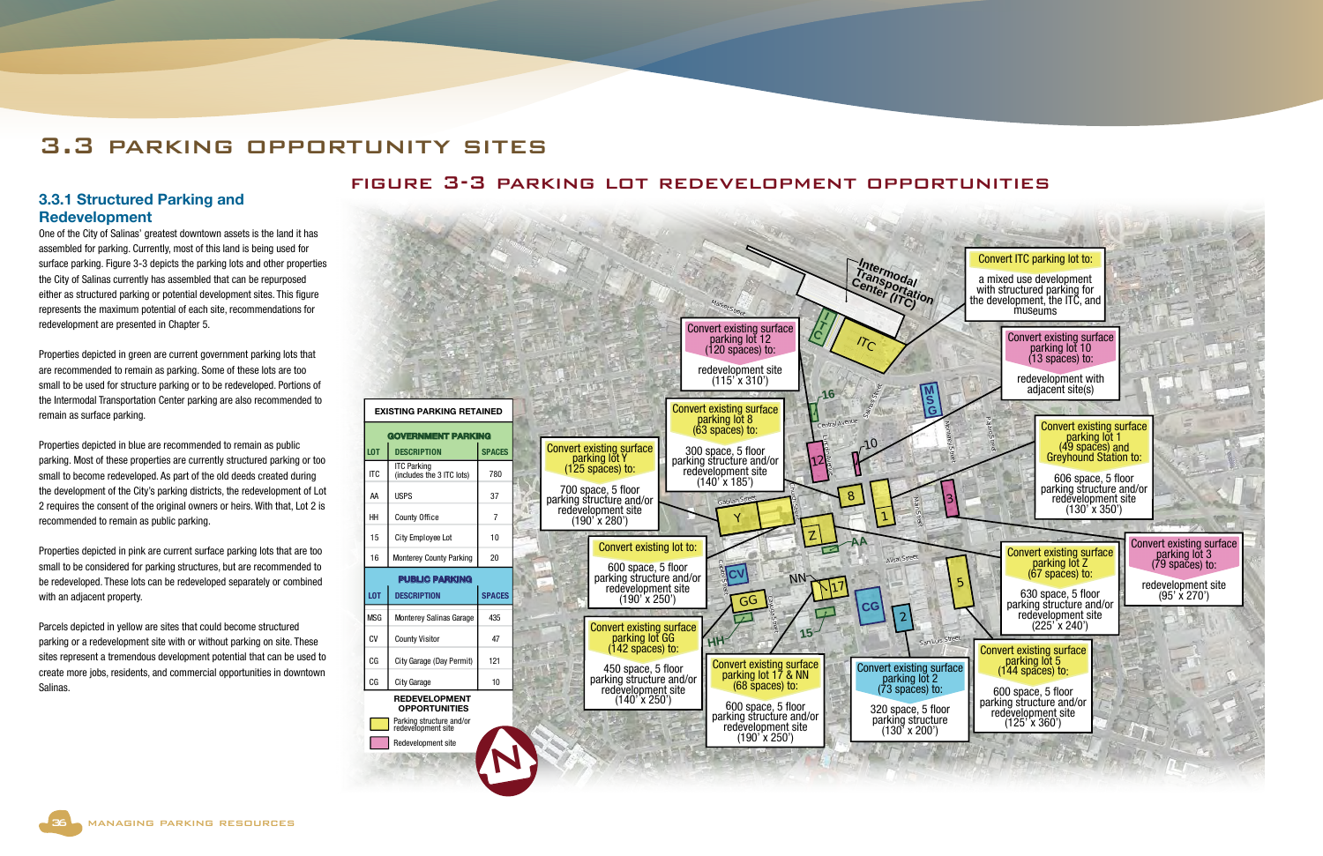

## 3.3.1 Structured Parking and Redevelopment

One of the City of Salinas' greatest downtown assets is the land it has assembled for parking. Currently, most of this land is being used for surface parking. Figure 3-3 depicts the parking lots and other properties the City of Salinas currently has assembled that can be repurposed either as structured parking or potential development sites. This figure represents the maximum potential of each site, recommendations for redevelopment are presented in Chapter 5.

Properties depicted in green are current government parking lots that are recommended to remain as parking. Some of these lots are too small to be used for structure parking or to be redeveloped. Portions of the Intermodal Transportation Center parking are also recommended to remain as surface parking.

Properties depicted in blue are recommended to remain as public parking. Most of these properties are currently structured parking or too small to become redeveloped. As part of the old deeds created during the development of the City's parking districts, the redevelopment of Lot 2 requires the consent of the original owners or heirs. With that, Lot 2 is recommended to remain as public parking.

Properties depicted in pink are current surface parking lots that are too small to be considered for parking structures, but are recommended to be redeveloped. These lots can be redeveloped separately or combined with an adjacent property.

Parcels depicted in yellow are sites that could become structured parking or a redevelopment site with or without parking on site. These sites represent a tremendous development potential that can be used to create more jobs, residents, and commercial opportunities in downtown Salinas.



## 3.3 parking opportunity sites

## figure 3-3 parking lot redevelopment opportunities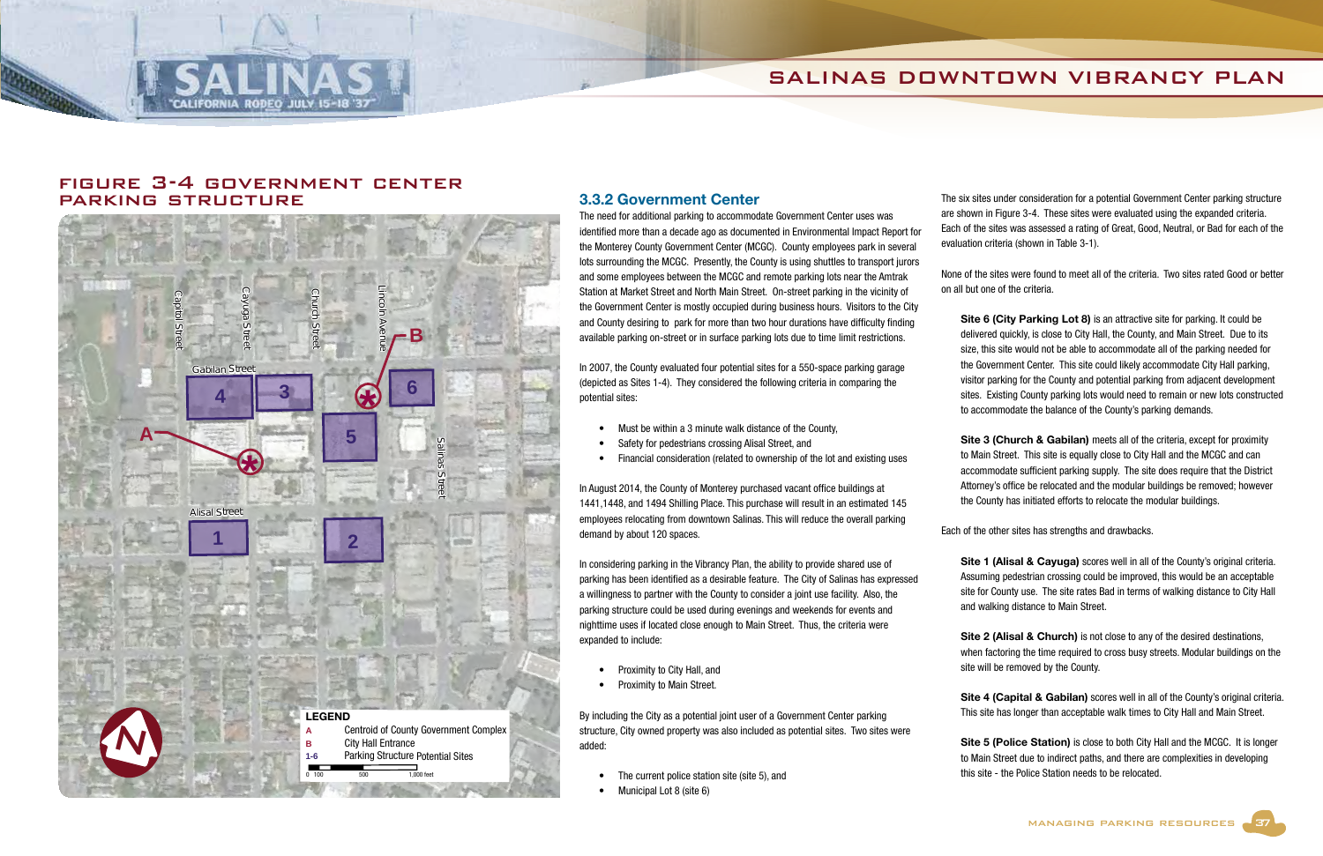## SALINAS DOWNTOWN VIBRANCY PLAN



### 3.3.2 Government Center

The need for additional parking to accommodate Government Center uses was identified more than a decade ago as documented in Environmental Impact Report for the Monterey County Government Center (MCGC). County employees park in several lots surrounding the MCGC. Presently, the County is using shuttles to transport jurors and some employees between the MCGC and remote parking lots near the Amtrak Station at Market Street and North Main Street. On-street parking in the vicinity of the Government Center is mostly occupied during business hours. Visitors to the City and County desiring to park for more than two hour durations have difficulty finding available parking on-street or in surface parking lots due to time limit restrictions.

In 2007, the County evaluated four potential sites for a 550-space parking garage (depicted as Sites 1-4). They considered the following criteria in comparing the potential sites:

- The current police station site (site 5), and
- Municipal Lot 8 (site 6)

- Must be within a 3 minute walk distance of the County,
- Safety for pedestrians crossing Alisal Street, and
- Financial consideration (related to ownership of the lot and existing uses

In August 2014, the County of Monterey purchased vacant office buildings at 1441,1448, and 1494 Shilling Place. This purchase will result in an estimated 145 employees relocating from downtown Salinas. This will reduce the overall parking demand by about 120 spaces.

Site 6 (City Parking Lot 8) is an attractive site for parking. It could be delivered quickly, is close to City Hall, the County, and Main Street. Due to its size, this site would not be able to accommodate all of the parking needed for the Government Center. This site could likely accommodate City Hall parking, visitor parking for the County and potential parking from adjacent development sites. Existing County parking lots would need to remain or new lots constructed to accommodate the balance of the County's parking demands.

Site 3 (Church & Gabilan) meets all of the criteria, except for proximity to Main Street. This site is equally close to City Hall and the MCGC and can accommodate sufficient parking supply. The site does require that the District Attorney's office be relocated and the modular buildings be removed; however the County has initiated efforts to relocate the modular buildings.

In considering parking in the Vibrancy Plan, the ability to provide shared use of parking has been identified as a desirable feature. The City of Salinas has expressed a willingness to partner with the County to consider a joint use facility. Also, the parking structure could be used during evenings and weekends for events and nighttime uses if located close enough to Main Street. Thus, the criteria were expanded to include:

Site 1 (Alisal & Cayuga) scores well in all of the County's original criteria. Assuming pedestrian crossing could be improved, this would be an acceptable site for County use. The site rates Bad in terms of walking distance to City Hall

- Proximity to City Hall, and
- Proximity to Main Street.

Site 4 (Capital & Gabilan) scores well in all of the County's original criteria. This site has longer than acceptable walk times to City Hall and Main Street.

By including the City as a potential joint user of a Government Center parking structure, City owned property was also included as potential sites. Two sites were added:

Site 5 (Police Station) is close to both City Hall and the MCGC. It is longer to Main Street due to indirect paths, and there are complexities in developing this site - the Police Station needs to be relocated.

The six sites under consideration for a potential Government Center parking structure are shown in Figure 3-4. These sites were evaluated using the expanded criteria. Each of the sites was assessed a rating of Great, Good, Neutral, or Bad for each of the evaluation criteria (shown in Table 3-1).

None of the sites were found to meet all of the criteria. Two sites rated Good or better on all but one of the criteria.

Each of the other sites has strengths and drawbacks.

and walking distance to Main Street. Site 2 (Alisal & Church) is not close to any of the desired destinations, when factoring the time required to cross busy streets. Modular buildings on the site will be removed by the County.

## figure 3-4 government center parking structure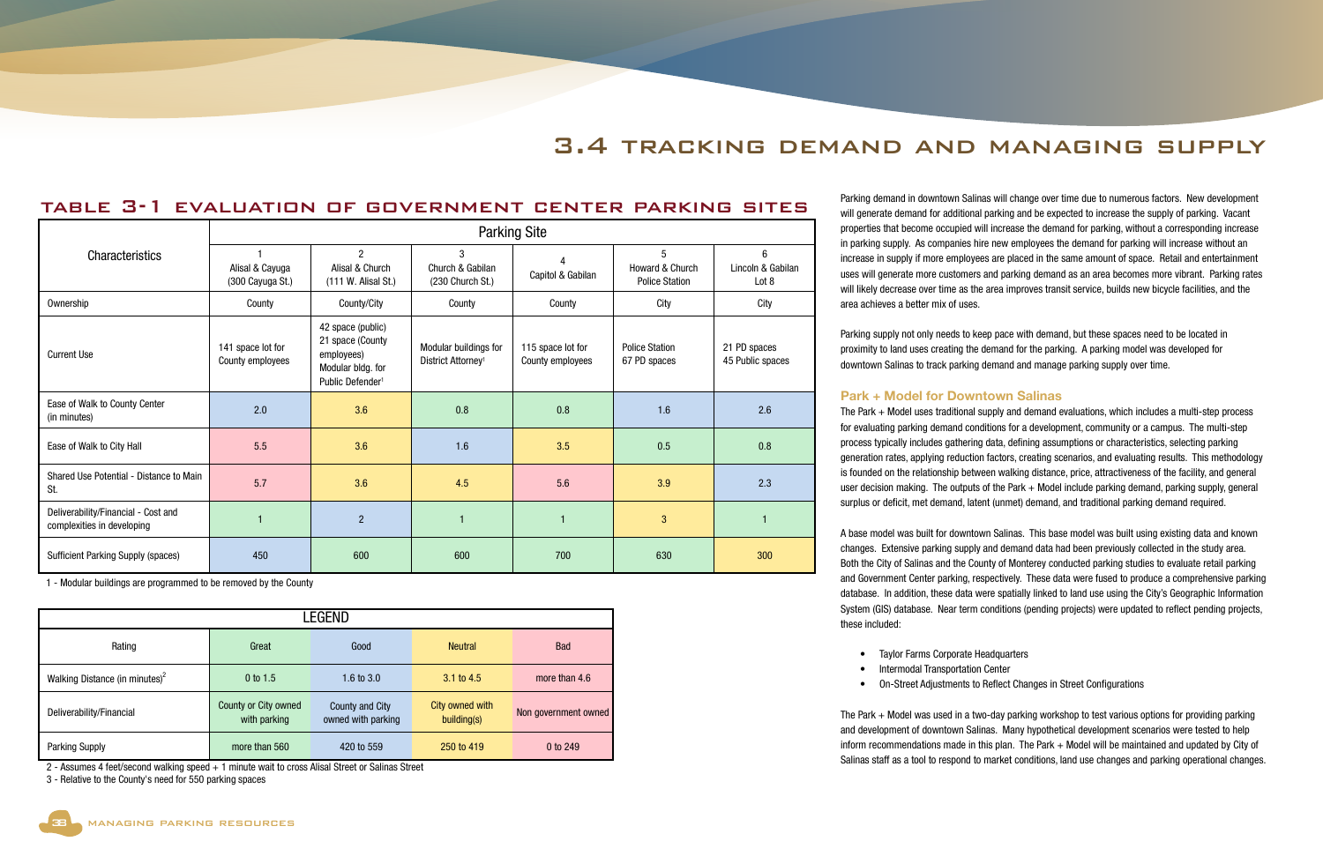

|                                                                   | <b>Parking Site</b>                   |                                                                                                          |                                                         |                                       |                                               |                                               |  |
|-------------------------------------------------------------------|---------------------------------------|----------------------------------------------------------------------------------------------------------|---------------------------------------------------------|---------------------------------------|-----------------------------------------------|-----------------------------------------------|--|
| Characteristics                                                   | Alisal & Cayuga<br>(300 Cayuga St.)   | $\mathcal{P}$<br>Alisal & Church<br>(111 W. Alisal St.)                                                  | 3<br>Church & Gabilan<br>(230 Church St.)               | Δ<br>Capitol & Gabilan                | 5<br>Howard & Church<br><b>Police Station</b> | $6\overline{6}$<br>Lincoln & Gabilan<br>Lot 8 |  |
| Ownership                                                         | County                                | County/City                                                                                              | County                                                  | County                                | City                                          | City                                          |  |
| <b>Current Use</b>                                                | 141 space lot for<br>County employees | 42 space (public)<br>21 space (County<br>employees)<br>Modular bldg. for<br>Public Defender <sup>1</sup> | Modular buildings for<br>District Attorney <sup>1</sup> | 115 space lot for<br>County employees | <b>Police Station</b><br>67 PD spaces         | 21 PD spaces<br>45 Public spaces              |  |
| Ease of Walk to County Center<br>(in minutes)                     | 2.0                                   | 3.6                                                                                                      | 0.8                                                     | 0.8                                   | 1.6                                           | 2.6                                           |  |
| Ease of Walk to City Hall                                         | 5.5                                   | 3.6                                                                                                      | 1.6                                                     | 3.5                                   | 0.5                                           | 0.8                                           |  |
| Shared Use Potential - Distance to Main<br>St.                    | 5.7                                   | 3.6                                                                                                      | 4.5                                                     | 5.6                                   | 3.9                                           | 2.3                                           |  |
| Deliverability/Financial - Cost and<br>complexities in developing |                                       | 2                                                                                                        | $\mathbf{1}$                                            | $\overline{1}$                        | 3                                             |                                               |  |
| <b>Sufficient Parking Supply (spaces)</b>                         | 450                                   | 600                                                                                                      | 600                                                     | 700                                   | 630                                           | 300                                           |  |

| LEGEND                                     |                                      |                                       |                                |                      |  |  |  |  |
|--------------------------------------------|--------------------------------------|---------------------------------------|--------------------------------|----------------------|--|--|--|--|
| Rating                                     | Great                                | Good                                  | <b>Neutral</b>                 | <b>Bad</b>           |  |  |  |  |
| Walking Distance (in minutes) <sup>2</sup> | $0$ to 1.5                           | 1.6 to $3.0$                          | $3.1 \text{ to } 4.5$          | more than 4.6        |  |  |  |  |
| Deliverability/Financial                   | County or City owned<br>with parking | County and City<br>owned with parking | City owned with<br>building(s) | Non government owned |  |  |  |  |
| <b>Parking Supply</b>                      | more than 560                        | 420 to 559                            | 250 to 419                     | 0 to 249             |  |  |  |  |

2 - Assumes 4 feet/second walking speed + 1 minute wait to cross Alisal Street or Salinas Street

3 - Relative to the County's need for 550 parking spaces

1 - Modular buildings are programmed to be removed by the County

Parking demand in downtown Salinas will change over time due to numerous factors. New development will generate demand for additional parking and be expected to increase the supply of parking. Vacant properties that become occupied will increase the demand for parking, without a corresponding increase in parking supply. As companies hire new employees the demand for parking will increase without an increase in supply if more employees are placed in the same amount of space. Retail and entertainment uses will generate more customers and parking demand as an area becomes more vibrant. Parking rates will likely decrease over time as the area improves transit service, builds new bicycle facilities, and the

Parking supply not only needs to keep pace with demand, but these spaces need to be located in proximity to land uses creating the demand for the parking. A parking model was developed for downtown Salinas to track parking demand and manage parking supply over time.

### Park + Model for Downtown Salinas

The Park + Model uses traditional supply and demand evaluations, which includes a multi-step process for evaluating parking demand conditions for a development, community or a campus. The multi-step process typically includes gathering data, defining assumptions or characteristics, selecting parking generation rates, applying reduction factors, creating scenarios, and evaluating results. This methodology is founded on the relationship between walking distance, price, attractiveness of the facility, and general user decision making. The outputs of the Park + Model include parking demand, parking supply, general surplus or deficit, met demand, latent (unmet) demand, and traditional parking demand required.

A base model was built for downtown Salinas. This base model was built using existing data and known changes. Extensive parking supply and demand data had been previously collected in the study area. Both the City of Salinas and the County of Monterey conducted parking studies to evaluate retail parking and Government Center parking, respectively. These data were fused to produce a comprehensive parking database. In addition, these data were spatially linked to land use using the City's Geographic Information System (GIS) database. Near term conditions (pending projects) were updated to reflect pending projects, these included:

- Taylor Farms Corporate Headquarters
	- Intermodal Transportation Center
	-

• On-Street Adjustments to Reflect Changes in Street Configurations

The Park + Model was used in a two-day parking workshop to test various options for providing parking and development of downtown Salinas. Many hypothetical development scenarios were tested to help inform recommendations made in this plan. The Park + Model will be maintained and updated by City of Salinas staff as a tool to respond to market conditions, land use changes and parking operational changes.

# 3.4 tracking demand and managing supply

## table 3-1 evaluation of government center parking sites